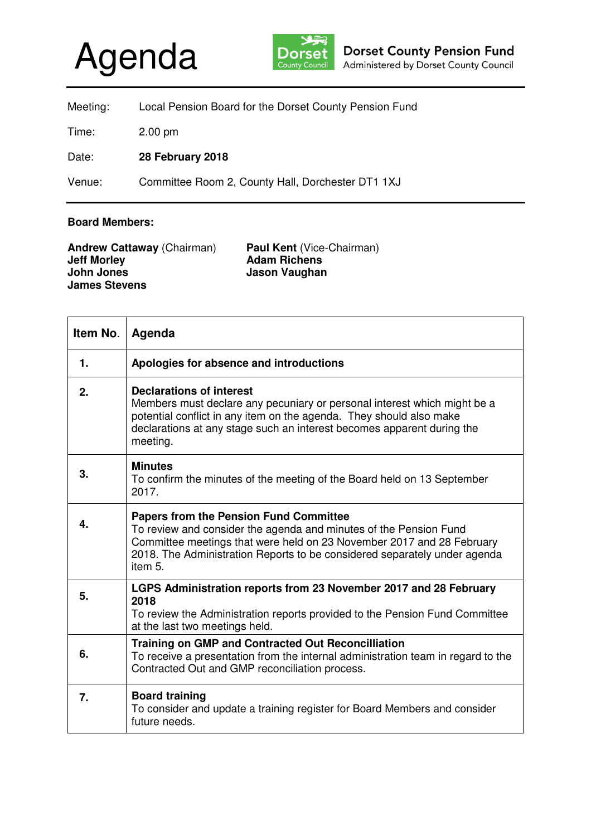## Agenda



| Meeting: | Local Pension Board for the Dorset County Pension Fund |
|----------|--------------------------------------------------------|
| Time:    | $2.00 \text{ pm}$                                      |
| Date:    | 28 February 2018                                       |
| Venue:   | Committee Room 2, County Hall, Dorchester DT1 1XJ      |

## **Board Members:**

| <b>Andrew Cattaway (Chairman)</b> | <b>Paul Kent (Vice-Chairman)</b> |
|-----------------------------------|----------------------------------|
| <b>Jeff Morley</b>                | <b>Adam Richens</b>              |
| John Jones                        | Jason Vaughan                    |
| <b>James Stevens</b>              |                                  |

| Item No.     | Agenda                                                                                                                                                                                                                                                                              |
|--------------|-------------------------------------------------------------------------------------------------------------------------------------------------------------------------------------------------------------------------------------------------------------------------------------|
| 1.           | Apologies for absence and introductions                                                                                                                                                                                                                                             |
| 2.           | <b>Declarations of interest</b><br>Members must declare any pecuniary or personal interest which might be a<br>potential conflict in any item on the agenda. They should also make<br>declarations at any stage such an interest becomes apparent during the<br>meeting.            |
| 3.           | <b>Minutes</b><br>To confirm the minutes of the meeting of the Board held on 13 September<br>2017.                                                                                                                                                                                  |
| $\mathbf{4}$ | <b>Papers from the Pension Fund Committee</b><br>To review and consider the agenda and minutes of the Pension Fund<br>Committee meetings that were held on 23 November 2017 and 28 February<br>2018. The Administration Reports to be considered separately under agenda<br>item 5. |
| 5.           | LGPS Administration reports from 23 November 2017 and 28 February<br>2018<br>To review the Administration reports provided to the Pension Fund Committee<br>at the last two meetings held.                                                                                          |
| 6.           | <b>Training on GMP and Contracted Out Reconcilliation</b><br>To receive a presentation from the internal administration team in regard to the<br>Contracted Out and GMP reconciliation process.                                                                                     |
| 7.           | <b>Board training</b><br>To consider and update a training register for Board Members and consider<br>future needs.                                                                                                                                                                 |